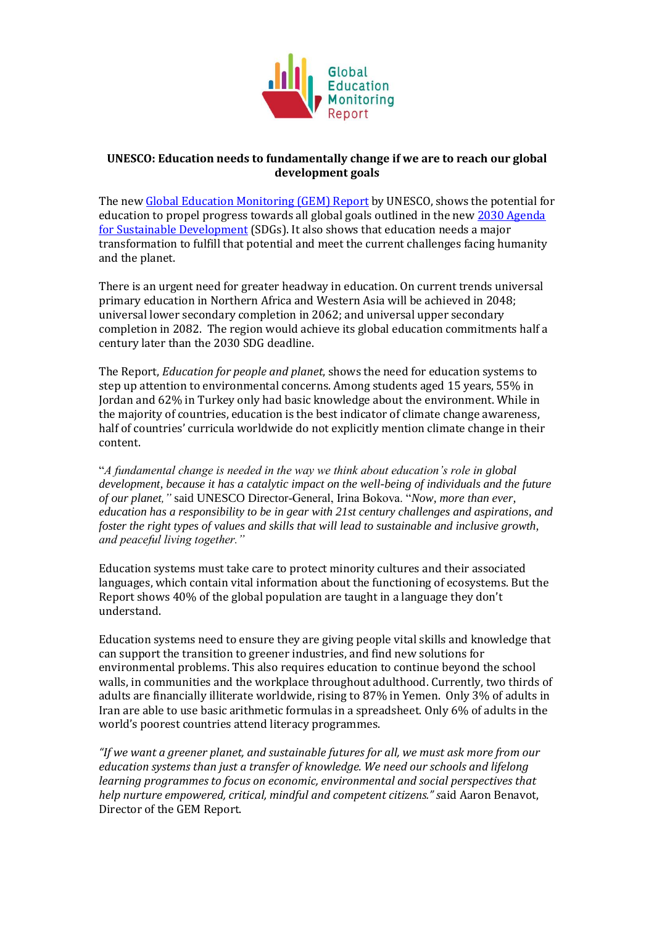

## **UNESCO: Education needs to fundamentally change if we are to reach our global development goals**

The new [Global Education Monitoring \(GEM\) Report](https://bitly.com/sdg4all) by UNESCO, shows the potential for education to propel progress towards all global goals outlined in the ne[w 2030 Agenda](http://www.un.org/sustainabledevelopment/sustainable-development-goals/)  [for Sustainable Development](http://www.un.org/sustainabledevelopment/sustainable-development-goals/) (SDGs). It also shows that education needs a major transformation to fulfill that potential and meet the current challenges facing humanity and the planet.

There is an urgent need for greater headway in education. On current trends universal primary education in Northern Africa and Western Asia will be achieved in 2048; universal lower secondary completion in 2062; and universal upper secondary completion in 2082. The region would achieve its global education commitments half a century later than the 2030 SDG deadline.

The Report, *Education for people and planet*, shows the need for education systems to step up attention to environmental concerns. Among students aged 15 years, 55% in Jordan and 62% in Turkey only had basic knowledge about the environment. While in the majority of countries, education is the best indicator of climate change awareness, half of countries' curricula worldwide do not explicitly mention climate change in their content.

"*A fundamental change is needed in the way we think about education's role in global development, because it has a catalytic impact on the well-being of individuals and the future of our planet,"* said UNESCO Director-General, Irina Bokova. "*Now, more than ever, education has a responsibility to be in gear with 21st century challenges and aspirations, and foster the right types of values and skills that will lead to sustainable and inclusive growth, and peaceful living together."*

Education systems must take care to protect minority cultures and their associated languages, which contain vital information about the functioning of ecosystems. But the Report shows 40% of the global population are taught in a language they don't understand.

Education systems need to ensure they are giving people vital skills and knowledge that can support the transition to greener industries, and find new solutions for environmental problems. This also requires education to continue beyond the school walls, in communities and the workplace throughout adulthood. Currently, two thirds of adults are financially illiterate worldwide, rising to 87% in Yemen. Only 3% of adults in Iran are able to use basic arithmetic formulas in a spreadsheet. Only 6% of adults in the world's poorest countries attend literacy programmes.

*"If we want a greener planet, and sustainable futures for all, we must ask more from our education systems than just a transfer of knowledge. We need our schools and lifelong learning programmes to focus on economic, environmental and social perspectives that help nurture empowered, critical, mindful and competent citizens." s*aid Aaron Benavot, Director of the GEM Report.